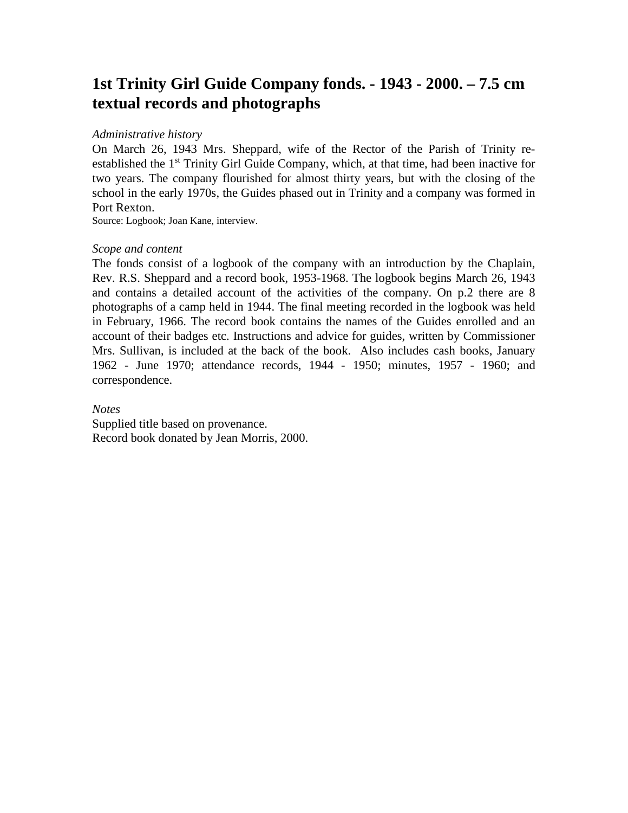# **1st Trinity Girl Guide Company fonds. - 1943 - 2000. – 7.5 cm textual records and photographs**

#### *Administrative history*

On March 26, 1943 Mrs. Sheppard, wife of the Rector of the Parish of Trinity reestablished the 1<sup>st</sup> Trinity Girl Guide Company, which, at that time, had been inactive for two years. The company flourished for almost thirty years, but with the closing of the school in the early 1970s, the Guides phased out in Trinity and a company was formed in Port Rexton.

Source: Logbook; Joan Kane, interview.

#### *Scope and content*

The fonds consist of a logbook of the company with an introduction by the Chaplain, Rev. R.S. Sheppard and a record book, 1953-1968. The logbook begins March 26, 1943 and contains a detailed account of the activities of the company. On p.2 there are 8 photographs of a camp held in 1944. The final meeting recorded in the logbook was held in February, 1966. The record book contains the names of the Guides enrolled and an account of their badges etc. Instructions and advice for guides, written by Commissioner Mrs. Sullivan, is included at the back of the book. Also includes cash books, January 1962 - June 1970; attendance records, 1944 - 1950; minutes, 1957 - 1960; and correspondence.

*Notes* Supplied title based on provenance. Record book donated by Jean Morris, 2000.